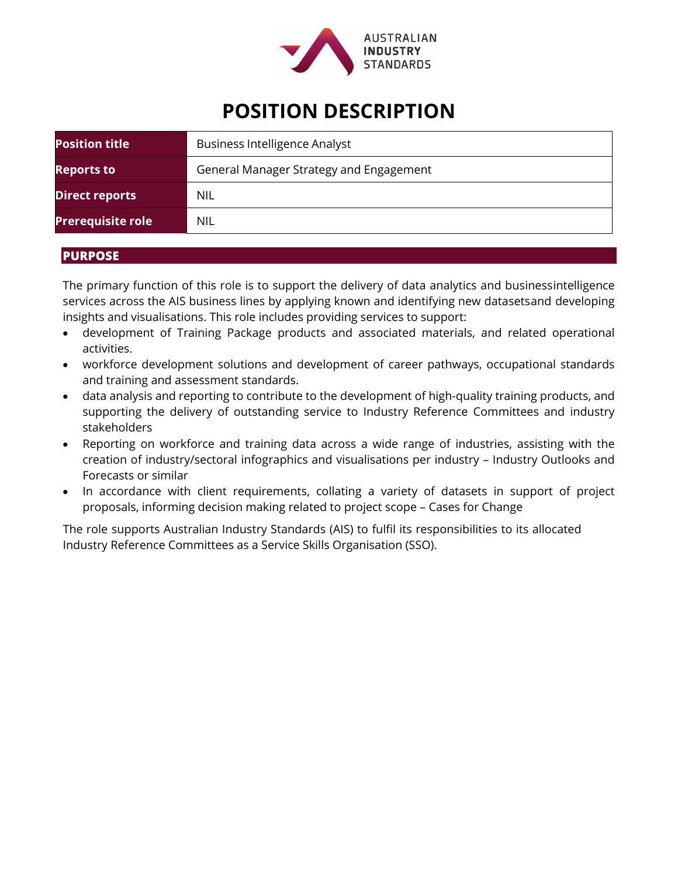

# **POSITION DESCRIPTION**

| <b>Position title</b>    | <b>Business Intelligence Analyst</b>    |
|--------------------------|-----------------------------------------|
| <b>Reports to</b>        | General Manager Strategy and Engagement |
| <b>Direct reports</b>    | NIL                                     |
| <b>Prerequisite role</b> | <b>NIL</b>                              |

## **PURPOSE**

The primary function of this role is to support the delivery of data analytics and businessintelligence services across the AIS business lines by applying known and identifying new datasetsand developing insights and visualisations. This role includes providing services to support:

- development of Training Package products and associated materials, and related operational activities.
- workforce development solutions and development of career pathways, occupational standards and training and assessment standards.
- data analysis and reporting to contribute to the development of high-quality training products, and supporting the delivery of outstanding service to Industry Reference Committees and industry stakeholders
- Reporting on workforce and training data across a wide range of industries, assisting with the creation of industry/sectoral infographics and visualisations per industry – Industry Outlooks and Forecasts or similar
- In accordance with client requirements, collating a variety of datasets in support of project proposals, informing decision making related to project scope – Cases for Change

The role supports Australian Industry Standards (AIS) to fulfil its responsibilities to its allocated Industry Reference Committees as a Service Skills Organisation (SSO).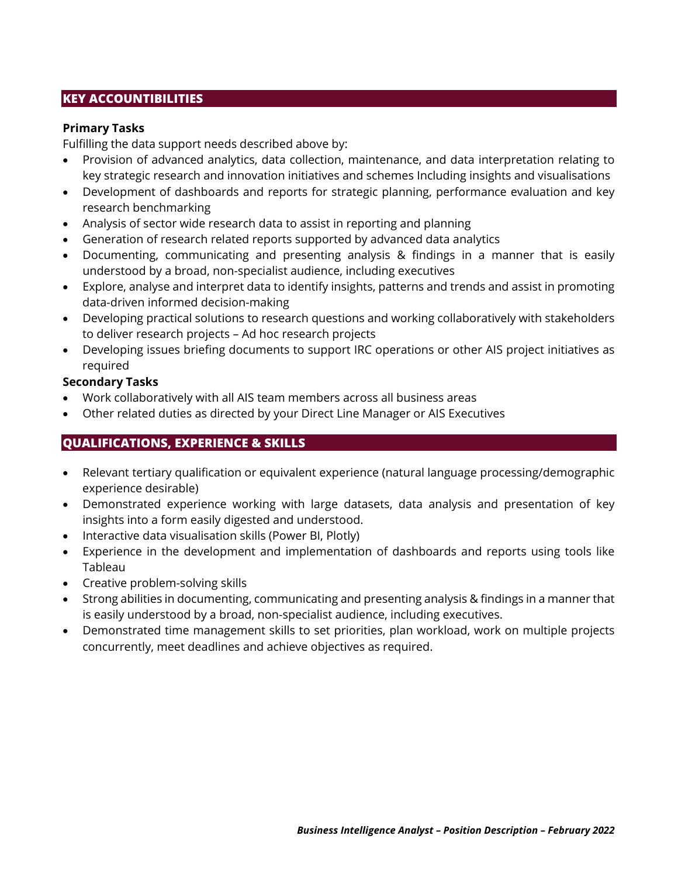# **KEY ACCOUNTIBILITIES**

#### **Primary Tasks**

Fulfilling the data support needs described above by:

- Provision of advanced analytics, data collection, maintenance, and data interpretation relating to key strategic research and innovation initiatives and schemes Including insights and visualisations
- Development of dashboards and reports for strategic planning, performance evaluation and key research benchmarking
- Analysis of sector wide research data to assist in reporting and planning
- Generation of research related reports supported by advanced data analytics
- Documenting, communicating and presenting analysis & findings in a manner that is easily understood by a broad, non-specialist audience, including executives
- Explore, analyse and interpret data to identify insights, patterns and trends and assist in promoting data-driven informed decision-making
- Developing practical solutions to research questions and working collaboratively with stakeholders to deliver research projects – Ad hoc research projects
- Developing issues briefing documents to support IRC operations or other AIS project initiatives as required

#### **Secondary Tasks**

- Work collaboratively with all AIS team members across all business areas
- Other related duties as directed by your Direct Line Manager or AIS Executives

# **QUALIFICATIONS, EXPERIENCE & SKILLS**

- Relevant tertiary qualification or equivalent experience (natural language processing/demographic experience desirable)
- Demonstrated experience working with large datasets, data analysis and presentation of key insights into a form easily digested and understood.
- Interactive data visualisation skills (Power BI, Plotly)
- Experience in the development and implementation of dashboards and reports using tools like Tableau
- Creative problem-solving skills
- Strong abilities in documenting, communicating and presenting analysis & findings in a manner that is easily understood by a broad, non-specialist audience, including executives.
- Demonstrated time management skills to set priorities, plan workload, work on multiple projects concurrently, meet deadlines and achieve objectives as required.